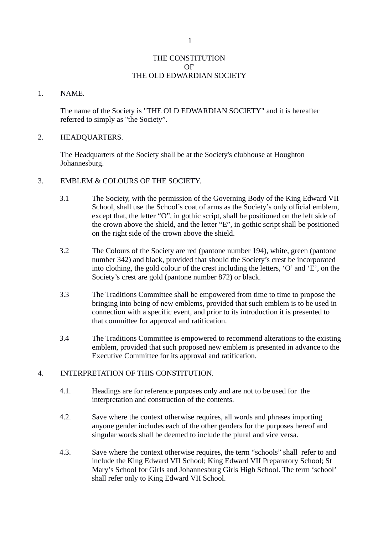### THE CONSTITUTION  $\Omega$ F THE OLD EDWARDIAN SOCIETY

#### 1. NAME.

The name of the Society is "THE OLD EDWARDIAN SOCIETY" and it is hereafter referred to simply as "the Society".

### 2. HEADQUARTERS.

The Headquarters of the Society shall be at the Society's clubhouse at Houghton Johannesburg.

- 3. EMBLEM & COLOURS OF THE SOCIETY.
	- 3.1 The Society, with the permission of the Governing Body of the King Edward VII School, shall use the School's coat of arms as the Society's only official emblem, except that, the letter "O", in gothic script, shall be positioned on the left side of the crown above the shield, and the letter "E", in gothic script shall be positioned on the right side of the crown above the shield.
	- 3.2 The Colours of the Society are red (pantone number 194), white, green (pantone number 342) and black, provided that should the Society's crest be incorporated into clothing, the gold colour of the crest including the letters, 'O' and 'E', on the Society's crest are gold (pantone number 872) or black.
	- 3.3 The Traditions Committee shall be empowered from time to time to propose the bringing into being of new emblems, provided that such emblem is to be used in connection with a specific event, and prior to its introduction it is presented to that committee for approval and ratification.
	- 3.4 The Traditions Committee is empowered to recommend alterations to the existing emblem, provided that such proposed new emblem is presented in advance to the Executive Committee for its approval and ratification.

# 4. INTERPRETATION OF THIS CONSTITUTION.

- 4.1. Headings are for reference purposes only and are not to be used for the interpretation and construction of the contents.
- 4.2. Save where the context otherwise requires, all words and phrases importing anyone gender includes each of the other genders for the purposes hereof and singular words shall be deemed to include the plural and vice versa.
- 4.3. Save where the context otherwise requires, the term "schools" shall refer to and include the King Edward VII School; King Edward VII Preparatory School; St Mary's School for Girls and Johannesburg Girls High School. The term 'school' shall refer only to King Edward VII School.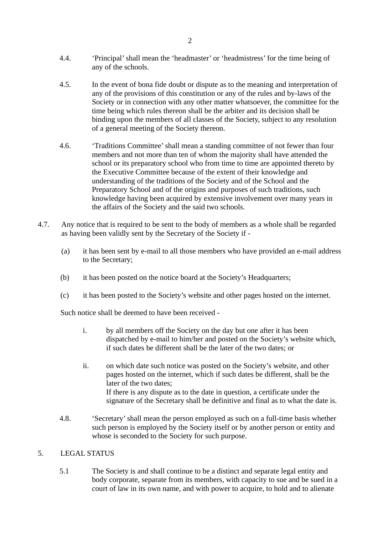- 4.4. 'Principal' shall mean the 'headmaster' or 'headmistress' for the time being of any of the schools.
- 4.5. In the event of bona fide doubt or dispute as to the meaning and interpretation of any of the provisions of this constitution or any of the rules and by-laws of the Society or in connection with any other matter whatsoever, the committee for the time being which rules thereon shall be the arbiter and its decision shall be binding upon the members of all classes of the Society, subject to any resolution of a general meeting of the Society thereon.
- 4.6. 'Traditions Committee' shall mean a standing committee of not fewer than four members and not more than ten of whom the majority shall have attended the school or its preparatory school who from time to time are appointed thereto by the Executive Committee because of the extent of their knowledge and understanding of the traditions of the Society and of the School and the Preparatory School and of the origins and purposes of such traditions, such knowledge having been acquired by extensive involvement over many years in the affairs of the Society and the said two schools.
- 4.7. Any notice that is required to be sent to the body of members as a whole shall be regarded as having been validly sent by the Secretary of the Society if -
	- (a) it has been sent by e-mail to all those members who have provided an e-mail address to the Secretary;
	- (b) it has been posted on the notice board at the Society's Headquarters;
	- (c) it has been posted to the Society's website and other pages hosted on the internet.

Such notice shall be deemed to have been received -

- i. by all members off the Society on the day but one after it has been dispatched by e-mail to him/her and posted on the Society's website which, if such dates be different shall be the later of the two dates; or
- ii. on which date such notice was posted on the Society's website, and other pages hosted on the internet, which if such dates be different, shall be the later of the two dates; If there is any dispute as to the date in question, a certificate under the signature of the Secretary shall be definitive and final as to what the date is.
- 4.8. 'Secretary' shall mean the person employed as such on a full-time basis whether such person is employed by the Society itself or by another person or entity and whose is seconded to the Society for such purpose.

### 5. LEGAL STATUS

5.1 The Society is and shall continue to be a distinct and separate legal entity and body corporate, separate from its members, with capacity to sue and be sued in a court of law in its own name, and with power to acquire, to hold and to alienate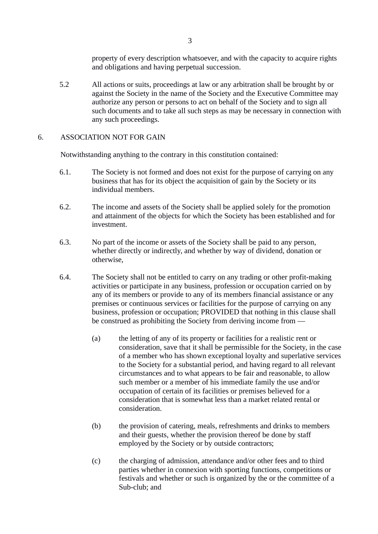property of every description whatsoever, and with the capacity to acquire rights and obligations and having perpetual succession.

5.2 All actions or suits, proceedings at law or any arbitration shall be brought by or against the Society in the name of the Society and the Executive Committee may authorize any person or persons to act on behalf of the Society and to sign all such documents and to take all such steps as may be necessary in connection with any such proceedings.

## 6. ASSOCIATION NOT FOR GAIN

Notwithstanding anything to the contrary in this constitution contained:

- 6.1. The Society is not formed and does not exist for the purpose of carrying on any business that has for its object the acquisition of gain by the Society or its individual members.
- 6.2. The income and assets of the Society shall be applied solely for the promotion and attainment of the objects for which the Society has been established and for investment.
- 6.3. No part of the income or assets of the Society shall be paid to any person, whether directly or indirectly, and whether by way of dividend, donation or otherwise,
- 6.4. The Society shall not be entitled to carry on any trading or other profit-making activities or participate in any business, profession or occupation carried on by any of its members or provide to any of its members financial assistance or any premises or continuous services or facilities for the purpose of carrying on any business, profession or occupation; PROVIDED that nothing in this clause shall be construed as prohibiting the Society from deriving income from —
	- (a) the letting of any of its property or facilities for a realistic rent or consideration, save that it shall be permissible for the Society, in the case of a member who has shown exceptional loyalty and superlative services to the Society for a substantial period, and having regard to all relevant circumstances and to what appears to be fair and reasonable, to allow such member or a member of his immediate family the use and/or occupation of certain of its facilities or premises believed for a consideration that is somewhat less than a market related rental or consideration.
	- (b) the provision of catering, meals, refreshments and drinks to members and their guests, whether the provision thereof be done by staff employed by the Society or by outside contractors;
	- (c) the charging of admission, attendance and/or other fees and to third parties whether in connexion with sporting functions, competitions or festivals and whether or such is organized by the or the committee of a Sub-club; and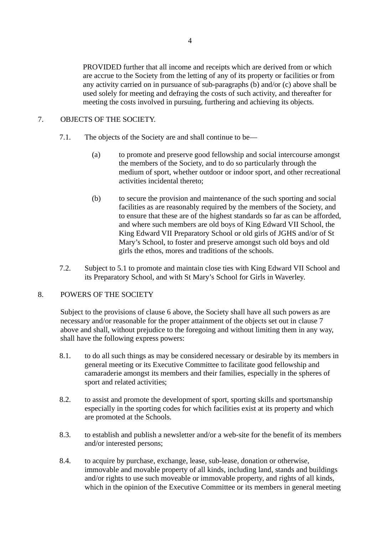PROVIDED further that all income and receipts which are derived from or which are accrue to the Society from the letting of any of its property or facilities or from any activity carried on in pursuance of sub-paragraphs (b) and/or (c) above shall be used solely for meeting and defraying the costs of such activity, and thereafter for meeting the costs involved in pursuing, furthering and achieving its objects.

## 7. OBJECTS OF THE SOCIETY.

- 7.1. The objects of the Society are and shall continue to be—
	- (a) to promote and preserve good fellowship and social intercourse amongst the members of the Society, and to do so particularly through the medium of sport, whether outdoor or indoor sport, and other recreational activities incidental thereto;
	- (b) to secure the provision and maintenance of the such sporting and social facilities as are reasonably required by the members of the Society, and to ensure that these are of the highest standards so far as can be afforded, and where such members are old boys of King Edward VII School, the King Edward VII Preparatory School or old girls of JGHS and/or of St Mary's School, to foster and preserve amongst such old boys and old girls the ethos, mores and traditions of the schools.
- 7.2. Subject to 5.1 to promote and maintain close ties with King Edward VII School and its Preparatory School, and with St Mary's School for Girls in Waverley.

### 8. POWERS OF THE SOCIETY

Subject to the provisions of clause 6 above, the Society shall have all such powers as are necessary and/or reasonable for the proper attainment of the objects set out in clause 7 above and shall, without prejudice to the foregoing and without limiting them in any way, shall have the following express powers:

- 8.1. to do all such things as may be considered necessary or desirable by its members in general meeting or its Executive Committee to facilitate good fellowship and camaraderie amongst its members and their families, especially in the spheres of sport and related activities;
- 8.2. to assist and promote the development of sport, sporting skills and sportsmanship especially in the sporting codes for which facilities exist at its property and which are promoted at the Schools.
- 8.3. to establish and publish a newsletter and/or a web-site for the benefit of its members and/or interested persons;
- 8.4. to acquire by purchase, exchange, lease, sub-lease, donation or otherwise, immovable and movable property of all kinds, including land, stands and buildings and/or rights to use such moveable or immovable property, and rights of all kinds, which in the opinion of the Executive Committee or its members in general meeting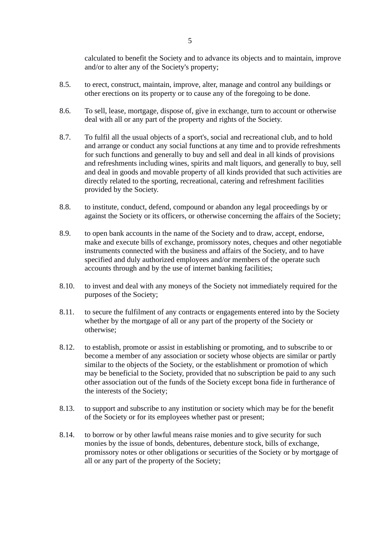calculated to benefit the Society and to advance its objects and to maintain, improve and/or to alter any of the Society's property;

- 8.5. to erect, construct, maintain, improve, alter, manage and control any buildings or other erections on its property or to cause any of the foregoing to be done.
- 8.6. To sell, lease, mortgage, dispose of, give in exchange, turn to account or otherwise deal with all or any part of the property and rights of the Society.
- 8.7. To fulfil all the usual objects of a sport's, social and recreational club, and to hold and arrange or conduct any social functions at any time and to provide refreshments for such functions and generally to buy and sell and deal in all kinds of provisions and refreshments including wines, spirits and malt liquors, and generally to buy, sell and deal in goods and movable property of all kinds provided that such activities are directly related to the sporting, recreational, catering and refreshment facilities provided by the Society.
- 8.8. to institute, conduct, defend, compound or abandon any legal proceedings by or against the Society or its officers, or otherwise concerning the affairs of the Society;
- 8.9. to open bank accounts in the name of the Society and to draw, accept, endorse, make and execute bills of exchange, promissory notes, cheques and other negotiable instruments connected with the business and affairs of the Society, and to have specified and duly authorized employees and/or members of the operate such accounts through and by the use of internet banking facilities;
- 8.10. to invest and deal with any moneys of the Society not immediately required for the purposes of the Society;
- 8.11. to secure the fulfilment of any contracts or engagements entered into by the Society whether by the mortgage of all or any part of the property of the Society or otherwise;
- 8.12. to establish, promote or assist in establishing or promoting, and to subscribe to or become a member of any association or society whose objects are similar or partly similar to the objects of the Society, or the establishment or promotion of which may be beneficial to the Society, provided that no subscription be paid to any such other association out of the funds of the Society except bona fide in furtherance of the interests of the Society;
- 8.13. to support and subscribe to any institution or society which may be for the benefit of the Society or for its employees whether past or present;
- 8.14. to borrow or by other lawful means raise monies and to give security for such monies by the issue of bonds, debentures, debenture stock, bills of exchange, promissory notes or other obligations or securities of the Society or by mortgage of all or any part of the property of the Society;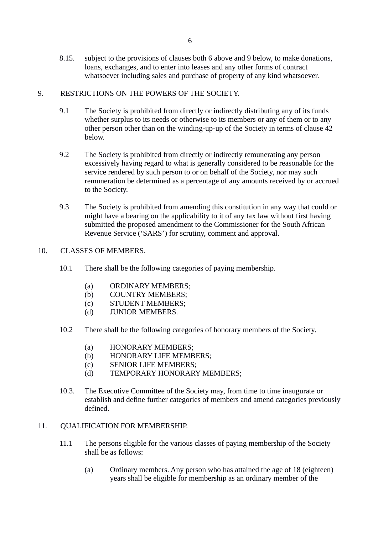8.15. subject to the provisions of clauses both 6 above and 9 below, to make donations, loans, exchanges, and to enter into leases and any other forms of contract whatsoever including sales and purchase of property of any kind whatsoever.

## 9. RESTRICTIONS ON THE POWERS OF THE SOCIETY.

- 9.1 The Society is prohibited from directly or indirectly distributing any of its funds whether surplus to its needs or otherwise to its members or any of them or to any other person other than on the winding-up-up of the Society in terms of clause 42 below.
- 9.2 The Society is prohibited from directly or indirectly remunerating any person excessively having regard to what is generally considered to be reasonable for the service rendered by such person to or on behalf of the Society, nor may such remuneration be determined as a percentage of any amounts received by or accrued to the Society.
- 9.3 The Society is prohibited from amending this constitution in any way that could or might have a bearing on the applicability to it of any tax law without first having submitted the proposed amendment to the Commissioner for the South African Revenue Service ('SARS') for scrutiny, comment and approval.

## 10. CLASSES OF MEMBERS.

- 10.1 There shall be the following categories of paying membership.
	- (a) ORDINARY MEMBERS;
	- (b) COUNTRY MEMBERS;
	- (c) STUDENT MEMBERS;
	- (d) JUNIOR MEMBERS.
- 10.2 There shall be the following categories of honorary members of the Society.
	- (a) HONORARY MEMBERS;
	- (b) HONORARY LIFE MEMBERS;
	- (c) SENIOR LIFE MEMBERS;
	- (d) TEMPORARY HONORARY MEMBERS;
- 10.3. The Executive Committee of the Society may, from time to time inaugurate or establish and define further categories of members and amend categories previously defined.

### 11. QUALIFICATION FOR MEMBERSHIP.

- 11.1 The persons eligible for the various classes of paying membership of the Society shall be as follows:
	- (a) Ordinary members. Any person who has attained the age of 18 (eighteen) years shall be eligible for membership as an ordinary member of the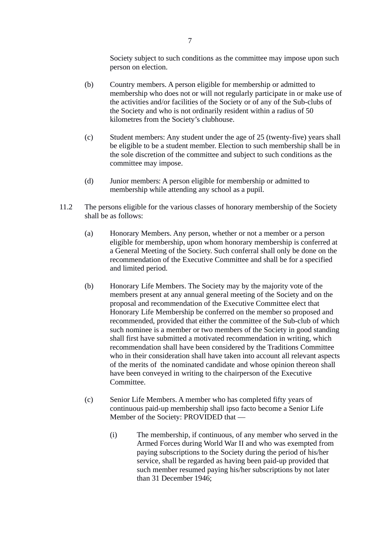Society subject to such conditions as the committee may impose upon such person on election.

- (b) Country members. A person eligible for membership or admitted to membership who does not or will not regularly participate in or make use of the activities and/or facilities of the Society or of any of the Sub-clubs of the Society and who is not ordinarily resident within a radius of 50 kilometres from the Society's clubhouse.
- (c) Student members: Any student under the age of 25 (twenty-five) years shall be eligible to be a student member. Election to such membership shall be in the sole discretion of the committee and subject to such conditions as the committee may impose.
- (d) Junior members: A person eligible for membership or admitted to membership while attending any school as a pupil.
- 11.2 The persons eligible for the various classes of honorary membership of the Society shall be as follows:
	- (a) Honorary Members. Any person, whether or not a member or a person eligible for membership, upon whom honorary membership is conferred at a General Meeting of the Society. Such conferral shall only be done on the recommendation of the Executive Committee and shall be for a specified and limited period.
	- (b) Honorary Life Members. The Society may by the majority vote of the members present at any annual general meeting of the Society and on the proposal and recommendation of the Executive Committee elect that Honorary Life Membership be conferred on the member so proposed and recommended, provided that either the committee of the Sub-club of which such nominee is a member or two members of the Society in good standing shall first have submitted a motivated recommendation in writing, which recommendation shall have been considered by the Traditions Committee who in their consideration shall have taken into account all relevant aspects of the merits of the nominated candidate and whose opinion thereon shall have been conveyed in writing to the chairperson of the Executive Committee.
	- (c) Senior Life Members. A member who has completed fifty years of continuous paid-up membership shall ipso facto become a Senior Life Member of the Society: PROVIDED that —
		- (i) The membership, if continuous, of any member who served in the Armed Forces during World War II and who was exempted from paying subscriptions to the Society during the period of his/her service, shall be regarded as having been paid-up provided that such member resumed paying his/her subscriptions by not later than 31 December 1946;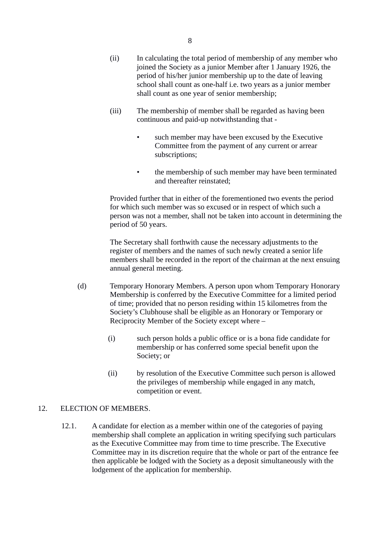- (ii) In calculating the total period of membership of any member who joined the Society as a junior Member after 1 January 1926, the period of his/her junior membership up to the date of leaving school shall count as one-half i.e. two years as a junior member shall count as one year of senior membership;
- (iii) The membership of member shall be regarded as having been continuous and paid-up notwithstanding that
	- such member may have been excused by the Executive Committee from the payment of any current or arrear subscriptions;
	- the membership of such member may have been terminated and thereafter reinstated;

Provided further that in either of the forementioned two events the period for which such member was so excused or in respect of which such a person was not a member, shall not be taken into account in determining the period of 50 years.

The Secretary shall forthwith cause the necessary adjustments to the register of members and the names of such newly created a senior life members shall be recorded in the report of the chairman at the next ensuing annual general meeting.

- (d) Temporary Honorary Members. A person upon whom Temporary Honorary Membership is conferred by the Executive Committee for a limited period of time; provided that no person residing within 15 kilometres from the Society's Clubhouse shall be eligible as an Honorary or Temporary or Reciprocity Member of the Society except where –
	- (i) such person holds a public office or is a bona fide candidate for membership or has conferred some special benefit upon the Society; or
	- (ii) by resolution of the Executive Committee such person is allowed the privileges of membership while engaged in any match, competition or event.

# 12. ELECTION OF MEMBERS.

12.1. A candidate for election as a member within one of the categories of paying membership shall complete an application in writing specifying such particulars as the Executive Committee may from time to time prescribe. The Executive Committee may in its discretion require that the whole or part of the entrance fee then applicable be lodged with the Society as a deposit simultaneously with the lodgement of the application for membership.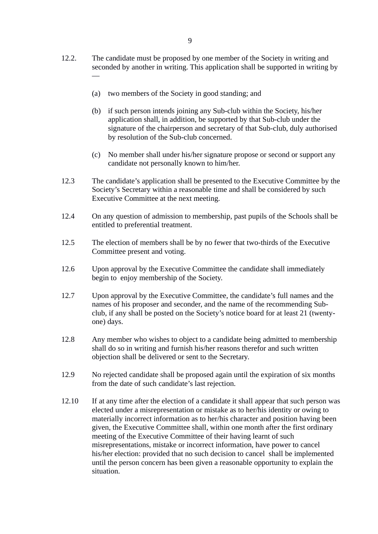- 12.2. The candidate must be proposed by one member of the Society in writing and seconded by another in writing. This application shall be supported in writing by —
	- (a) two members of the Society in good standing; and
	- (b) if such person intends joining any Sub-club within the Society, his/her application shall, in addition, be supported by that Sub-club under the signature of the chairperson and secretary of that Sub-club, duly authorised by resolution of the Sub-club concerned.
	- (c) No member shall under his/her signature propose or second or support any candidate not personally known to him/her.
- 12.3 The candidate's application shall be presented to the Executive Committee by the Society's Secretary within a reasonable time and shall be considered by such Executive Committee at the next meeting.
- 12.4 On any question of admission to membership, past pupils of the Schools shall be entitled to preferential treatment.
- 12.5 The election of members shall be by no fewer that two-thirds of the Executive Committee present and voting.
- 12.6 Upon approval by the Executive Committee the candidate shall immediately begin to enjoy membership of the Society.
- 12.7 Upon approval by the Executive Committee, the candidate's full names and the names of his proposer and seconder, and the name of the recommending Subclub, if any shall be posted on the Society's notice board for at least 21 (twentyone) days.
- 12.8 Any member who wishes to object to a candidate being admitted to membership shall do so in writing and furnish his/her reasons therefor and such written objection shall be delivered or sent to the Secretary.
- 12.9 No rejected candidate shall be proposed again until the expiration of six months from the date of such candidate's last rejection.
- 12.10 If at any time after the election of a candidate it shall appear that such person was elected under a misrepresentation or mistake as to her/his identity or owing to materially incorrect information as to her/his character and position having been given, the Executive Committee shall, within one month after the first ordinary meeting of the Executive Committee of their having learnt of such misrepresentations, mistake or incorrect information, have power to cancel his/her election: provided that no such decision to cancel shall be implemented until the person concern has been given a reasonable opportunity to explain the situation.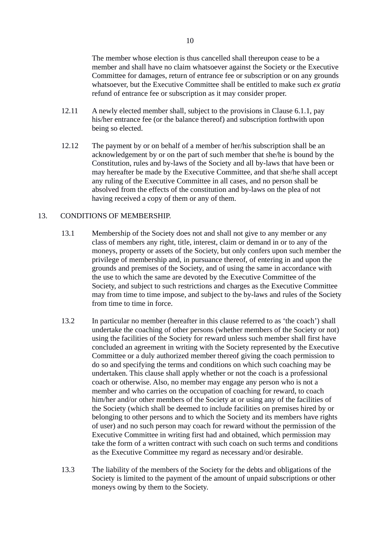The member whose election is thus cancelled shall thereupon cease to be a member and shall have no claim whatsoever against the Society or the Executive Committee for damages, return of entrance fee or subscription or on any grounds whatsoever, but the Executive Committee shall be entitled to make such ex gratia refund of entrance fee or subscription as it may consider proper.

- 12.11 A newly elected member shall, subject to the provisions in Clause 6.1.1, pay his/her entrance fee (or the balance thereof) and subscription forthwith upon being so elected.
- 12.12 The payment by or on behalf of a member of her/his subscription shall be an acknowledgement by or on the part of such member that she/he is bound by the Constitution, rules and by-laws of the Society and all by-laws that have been or may hereafter be made by the Executive Committee, and that she/he shall accept any ruling of the Executive Committee in all cases, and no person shall be absolved from the effects of the constitution and by-laws on the plea of not having received a copy of them or any of them.

### 13. CONDITIONS OF MEMBERSHIP.

- 13.1 Membership of the Society does not and shall not give to any member or any class of members any right, title, interest, claim or demand in or to any of the moneys, property or assets of the Society, but only confers upon such member the privilege of membership and, in pursuance thereof, of entering in and upon the grounds and premises of the Society, and of using the same in accordance with the use to which the same are devoted by the Executive Committee of the Society, and subject to such restrictions and charges as the Executive Committee may from time to time impose, and subject to the by-laws and rules of the Society from time to time in force.
- 13.2 In particular no member (hereafter in this clause referred to as 'the coach') shall undertake the coaching of other persons (whether members of the Society or not) using the facilities of the Society for reward unless such member shall first have concluded an agreement in writing with the Society represented by the Executive Committee or a duly authorized member thereof giving the coach permission to do so and specifying the terms and conditions on which such coaching may be undertaken. This clause shall apply whether or not the coach is a professional coach or otherwise. Also, no member may engage any person who is not a member and who carries on the occupation of coaching for reward, to coach him/her and/or other members of the Society at or using any of the facilities of the Society (which shall be deemed to include facilities on premises hired by or belonging to other persons and to which the Society and its members have rights of user) and no such person may coach for reward without the permission of the Executive Committee in writing first had and obtained, which permission may take the form of a written contract with such coach on such terms and conditions as the Executive Committee my regard as necessary and/or desirable.
- 13.3 The liability of the members of the Society for the debts and obligations of the Society is limited to the payment of the amount of unpaid subscriptions or other moneys owing by them to the Society.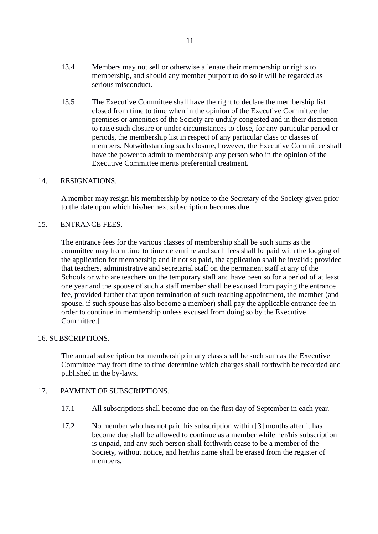- 13.4 Members may not sell or otherwise alienate their membership or rights to membership, and should any member purport to do so it will be regarded as serious misconduct.
- 13.5 The Executive Committee shall have the right to declare the membership list closed from time to time when in the opinion of the Executive Committee the premises or amenities of the Society are unduly congested and in their discretion to raise such closure or under circumstances to close, for any particular period or periods, the membership list in respect of any particular class or classes of members. Notwithstanding such closure, however, the Executive Committee shall have the power to admit to membership any person who in the opinion of the Executive Committee merits preferential treatment.

### 14. RESIGNATIONS.

A member may resign his membership by notice to the Secretary of the Society given prior to the date upon which his/her next subscription becomes due.

#### 15. ENTRANCE FEES.

The entrance fees for the various classes of membership shall be such sums as the committee may from time to time determine and such fees shall be paid with the lodging of the application for membership and if not so paid, the application shall be invalid ; provided that teachers, administrative and secretarial staff on the permanent staff at any of the Schools or who are teachers on the temporary staff and have been so for a period of at least one year and the spouse of such a staff member shall be excused from paying the entrance fee, provided further that upon termination of such teaching appointment, the member (and spouse, if such spouse has also become a member) shall pay the applicable entrance fee in order to continue in membership unless excused from doing so by the Executive Committee.]

#### 16. SUBSCRIPTIONS.

The annual subscription for membership in any class shall be such sum as the Executive Committee may from time to time determine which charges shall forthwith be recorded and published in the by-laws.

### 17. PAYMENT OF SUBSCRIPTIONS.

- 17.1 All subscriptions shall become due on the first day of September in each year.
- 17.2 No member who has not paid his subscription within [3] months after it has become due shall be allowed to continue as a member while her/his subscription is unpaid, and any such person shall forthwith cease to be a member of the Society, without notice, and her/his name shall be erased from the register of members.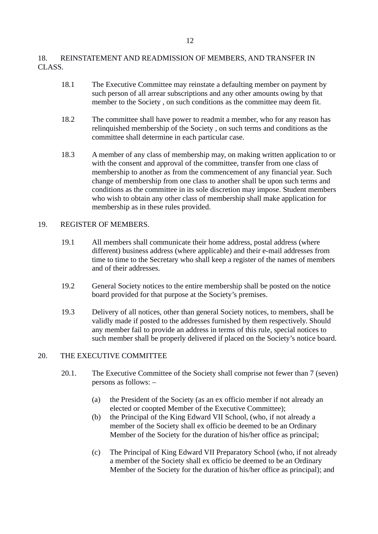## 18. REINSTATEMENT AND READMISSION OF MEMBERS, AND TRANSFER IN CLASS.

- 18.1 The Executive Committee may reinstate a defaulting member on payment by such person of all arrear subscriptions and any other amounts owing by that member to the Society , on such conditions as the committee may deem fit.
- 18.2 The committee shall have power to readmit a member, who for any reason has relinquished membership of the Society , on such terms and conditions as the committee shall determine in each particular case.
- 18.3 A member of any class of membership may, on making written application to or with the consent and approval of the committee, transfer from one class of membership to another as from the commencement of any financial year. Such change of membership from one class to another shall be upon such terms and conditions as the committee in its sole discretion may impose. Student members who wish to obtain any other class of membership shall make application for membership as in these rules provided.

## 19. REGISTER OF MEMBERS.

- 19.1 All members shall communicate their home address, postal address (where different) business address (where applicable) and their e-mail addresses from time to time to the Secretary who shall keep a register of the names of members and of their addresses.
- 19.2 General Society notices to the entire membership shall be posted on the notice board provided for that purpose at the Society's premises.
- 19.3 Delivery of all notices, other than general Society notices, to members, shall be validly made if posted to the addresses furnished by them respectively. Should any member fail to provide an address in terms of this rule, special notices to such member shall be properly delivered if placed on the Society's notice board.

# 20. THE EXECUTIVE COMMITTEE

- 20.1. The Executive Committee of the Society shall comprise not fewer than 7 (seven) persons as follows: –
	- (a) the President of the Society (as an ex officio member if not already an elected or coopted Member of the Executive Committee);
	- (b) the Principal of the King Edward VII School, (who, if not already a member of the Society shall ex officio be deemed to be an Ordinary Member of the Society for the duration of his/her office as principal;
	- (c) The Principal of King Edward VII Preparatory School (who, if not already a member of the Society shall ex officio be deemed to be an Ordinary Member of the Society for the duration of his/her office as principal); and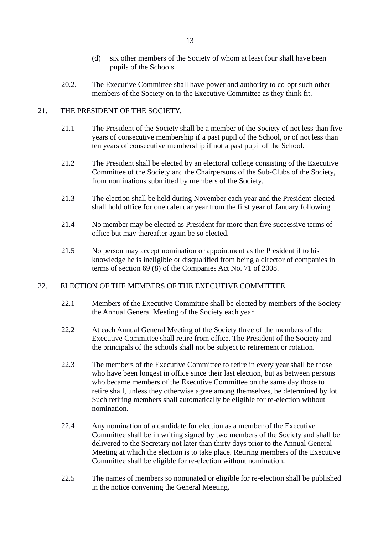- (d) six other members of the Society of whom at least four shall have been pupils of the Schools.
- 20.2. The Executive Committee shall have power and authority to co-opt such other members of the Society on to the Executive Committee as they think fit.

## 21. THE PRESIDENT OF THE SOCIETY.

- 21.1 The President of the Society shall be a member of the Society of not less than five years of consecutive membership if a past pupil of the School, or of not less than ten years of consecutive membership if not a past pupil of the School.
- 21.2 The President shall be elected by an electoral college consisting of the Executive Committee of the Society and the Chairpersons of the Sub-Clubs of the Society, from nominations submitted by members of the Society.
- 21.3 The election shall be held during November each year and the President elected shall hold office for one calendar year from the first year of January following.
- 21.4 No member may be elected as President for more than five successive terms of office but may thereafter again be so elected.
- 21.5 No person may accept nomination or appointment as the President if to his knowledge he is ineligible or disqualified from being a director of companies in terms of section 69 (8) of the Companies Act No. 71 of 2008.

### 22. ELECTION OF THE MEMBERS OF THE EXECUTIVE COMMITTEE.

- 22.1 Members of the Executive Committee shall be elected by members of the Society the Annual General Meeting of the Society each year.
- 22.2 At each Annual General Meeting of the Society three of the members of the Executive Committee shall retire from office. The President of the Society and the principals of the schools shall not be subject to retirement or rotation.
- 22.3 The members of the Executive Committee to retire in every year shall be those who have been longest in office since their last election, but as between persons who became members of the Executive Committee on the same day those to retire shall, unless they otherwise agree among themselves, be determined by lot. Such retiring members shall automatically be eligible for re-election without nomination.
- 22.4 Any nomination of a candidate for election as a member of the Executive Committee shall be in writing signed by two members of the Society and shall be delivered to the Secretary not later than thirty days prior to the Annual General Meeting at which the election is to take place. Retiring members of the Executive Committee shall be eligible for re-election without nomination.
- 22.5 The names of members so nominated or eligible for re-election shall be published in the notice convening the General Meeting.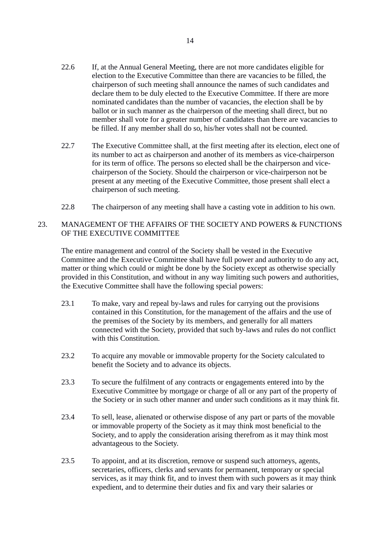- 22.6 If, at the Annual General Meeting, there are not more candidates eligible for election to the Executive Committee than there are vacancies to be filled, the chairperson of such meeting shall announce the names of such candidates and declare them to be duly elected to the Executive Committee. If there are more nominated candidates than the number of vacancies, the election shall be by ballot or in such manner as the chairperson of the meeting shall direct, but no member shall vote for a greater number of candidates than there are vacancies to be filled. If any member shall do so, his/her votes shall not be counted.
- 22.7 The Executive Committee shall, at the first meeting after its election, elect one of its number to act as chairperson and another of its members as vice-chairperson for its term of office. The persons so elected shall be the chairperson and vicechairperson of the Society. Should the chairperson or vice-chairperson not be present at any meeting of the Executive Committee, those present shall elect a chairperson of such meeting.
- 22.8 The chairperson of any meeting shall have a casting vote in addition to his own.

# 23. MANAGEMENT OF THE AFFAIRS OF THE SOCIETY AND POWERS & FUNCTIONS OF THE EXECUTIVE COMMITTEE

The entire management and control of the Society shall be vested in the Executive Committee and the Executive Committee shall have full power and authority to do any act, matter or thing which could or might be done by the Society except as otherwise specially provided in this Constitution, and without in any way limiting such powers and authorities, the Executive Committee shall have the following special powers:

- 23.1 To make, vary and repeal by-laws and rules for carrying out the provisions contained in this Constitution, for the management of the affairs and the use of the premises of the Society by its members, and generally for all matters connected with the Society, provided that such by-laws and rules do not conflict with this Constitution.
- 23.2 To acquire any movable or immovable property for the Society calculated to benefit the Society and to advance its objects.
- 23.3 To secure the fulfilment of any contracts or engagements entered into by the Executive Committee by mortgage or charge of all or any part of the property of the Society or in such other manner and under such conditions as it may think fit.
- 23.4 To sell, lease, alienated or otherwise dispose of any part or parts of the movable or immovable property of the Society as it may think most beneficial to the Society, and to apply the consideration arising therefrom as it may think most advantageous to the Society.
- 23.5 To appoint, and at its discretion, remove or suspend such attorneys, agents, secretaries, officers, clerks and servants for permanent, temporary or special services, as it may think fit, and to invest them with such powers as it may think expedient, and to determine their duties and fix and vary their salaries or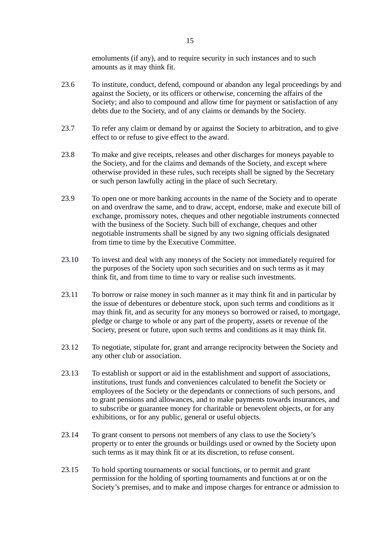emoluments (if any), and to require security in such instances and to such amounts as it may think fit.

- 23.6 To institute, conduct, defend, compound or abandon any legal proceedings by and against the Society, or its officers or otherwise, concerning the affairs of the Society; and also to compound and allow time for payment or satisfaction of any debts due to the Society, and of any claims or demands by the Society.
- 23.7 To refer any claim or demand by or against the Society to arbitration, and to give effect to or refuse to give effect to the award.
- 23.8 To make and give receipts, releases and other discharges for moneys payable to the Society, and for the claims and demands of the Society, and except where otherwise provided in these rules, such receipts shall be signed by the Secretary or such person lawfully acting in the place of such Secretary.
- 23.9 To open one or more banking accounts in the name of the Society and to operate on and overdraw the same, and to draw, accept, endorse, make and execute bill of exchange, promissory notes, cheques and other negotiable instruments connected with the business of the Society. Such bill of exchange, cheques and other negotiable instruments shall be signed by any two signing officials designated from time to time by the Executive Committee.
- 23.10 To invest and deal with any moneys of the Society not immediately required for the purposes of the Society upon such securities and on such terms as it may think fit, and from time to time to vary or realise such investments.
- 23.11 To borrow or raise money in such manner as it may think fit and in particular by the issue of debentures or debenture stock, upon such terms and conditions as it may think fit, and as security for any moneys so borrowed or raised, to mortgage, pledge or charge to whole or any part of the property, assets or revenue of the Society, present or future, upon such terms and conditions as it may think fit.
- 23.12 To negotiate, stipulate for, grant and arrange reciprocity between the Society and any other club or association.
- 23.13 To establish or support or aid in the establishment and support of associations, institutions, trust funds and conveniences calculated to benefit the Society or employees of the Society or the dependants or connections of such persons, and to grant pensions and allowances, and to make payments towards insurances, and to subscribe or guarantee money for charitable or benevolent objects, or for any exhibitions, or for any public, general or useful objects.
- 23.14 To grant consent to persons not members of any class to use the Society's property or to enter the grounds or buildings used or owned by the Society upon such terms as it may think fit or at its discretion, to refuse consent.
- 23.15 To hold sporting tournaments or social functions, or to permit and grant permission for the holding of sporting tournaments and functions at or on the Society's premises, and to make and impose charges for entrance or admission to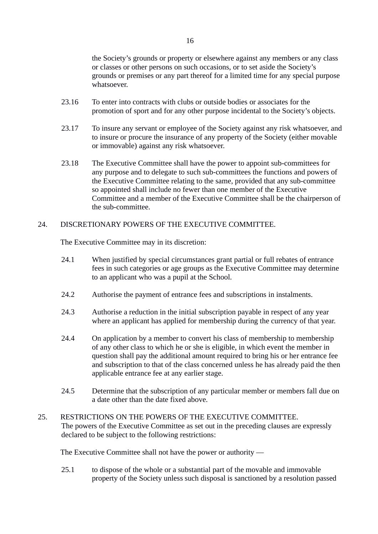the Society's grounds or property or elsewhere against any members or any class or classes or other persons on such occasions, or to set aside the Society's grounds or premises or any part thereof for a limited time for any special purpose whatsoever.

- 23.16 To enter into contracts with clubs or outside bodies or associates for the promotion of sport and for any other purpose incidental to the Society's objects.
- 23.17 To insure any servant or employee of the Society against any risk whatsoever, and to insure or procure the insurance of any property of the Society (either movable or immovable) against any risk whatsoever.
- 23.18 The Executive Committee shall have the power to appoint sub-committees for any purpose and to delegate to such sub-committees the functions and powers of the Executive Committee relating to the same, provided that any sub-committee so appointed shall include no fewer than one member of the Executive Committee and a member of the Executive Committee shall be the chairperson of the sub-committee.

## 24. DISCRETIONARY POWERS OF THE EXECUTIVE COMMITTEE.

The Executive Committee may in its discretion:

- 24.1 When justified by special circumstances grant partial or full rebates of entrance fees in such categories or age groups as the Executive Committee may determine to an applicant who was a pupil at the School.
- 24.2 Authorise the payment of entrance fees and subscriptions in instalments.
- 24.3 Authorise a reduction in the initial subscription payable in respect of any year where an applicant has applied for membership during the currency of that year.
- 24.4 On application by a member to convert his class of membership to membership of any other class to which he or she is eligible, in which event the member in question shall pay the additional amount required to bring his or her entrance fee and subscription to that of the class concerned unless he has already paid the then applicable entrance fee at any earlier stage.
- 24.5 Determine that the subscription of any particular member or members fall due on a date other than the date fixed above.
- 25. RESTRICTIONS ON THE POWERS OF THE EXECUTIVE COMMITTEE. The powers of the Executive Committee as set out in the preceding clauses are expressly declared to be subject to the following restrictions:

The Executive Committee shall not have the power or authority —

25.1 to dispose of the whole or a substantial part of the movable and immovable property of the Society unless such disposal is sanctioned by a resolution passed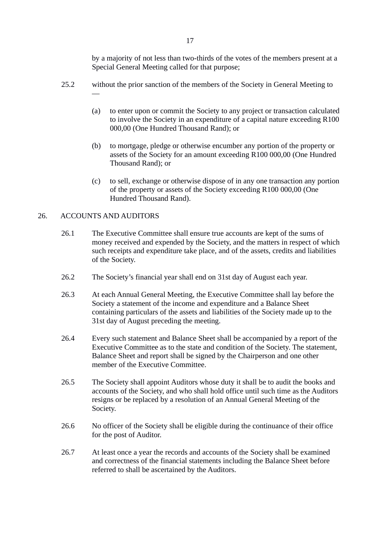17

by a majority of not less than two-thirds of the votes of the members present at a Special General Meeting called for that purpose;

- 25.2 without the prior sanction of the members of the Society in General Meeting to
	- (a) to enter upon or commit the Society to any project or transaction calculated to involve the Society in an expenditure of a capital nature exceeding R100 000,00 (One Hundred Thousand Rand); or
	- (b) to mortgage, pledge or otherwise encumber any portion of the property or assets of the Society for an amount exceeding R100 000,00 (One Hundred Thousand Rand); or
	- (c) to sell, exchange or otherwise dispose of in any one transaction any portion of the property or assets of the Society exceeding R100 000,00 (One Hundred Thousand Rand).

## 26. ACCOUNTS AND AUDITORS

—

- 26.1 The Executive Committee shall ensure true accounts are kept of the sums of money received and expended by the Society, and the matters in respect of which such receipts and expenditure take place, and of the assets, credits and liabilities of the Society.
- 26.2 The Society's financial year shall end on 31st day of August each year.
- 26.3 At each Annual General Meeting, the Executive Committee shall lay before the Society a statement of the income and expenditure and a Balance Sheet containing particulars of the assets and liabilities of the Society made up to the 31st day of August preceding the meeting.
- 26.4 Every such statement and Balance Sheet shall be accompanied by a report of the Executive Committee as to the state and condition of the Society. The statement, Balance Sheet and report shall be signed by the Chairperson and one other member of the Executive Committee.
- 26.5 The Society shall appoint Auditors whose duty it shall be to audit the books and accounts of the Society, and who shall hold office until such time as the Auditors resigns or be replaced by a resolution of an Annual General Meeting of the Society.
- 26.6 No officer of the Society shall be eligible during the continuance of their office for the post of Auditor.
- 26.7 At least once a year the records and accounts of the Society shall be examined and correctness of the financial statements including the Balance Sheet before referred to shall be ascertained by the Auditors.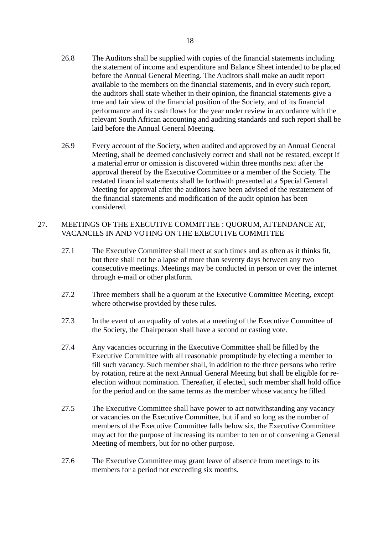- 26.8 The Auditors shall be supplied with copies of the financial statements including the statement of income and expenditure and Balance Sheet intended to be placed before the Annual General Meeting. The Auditors shall make an audit report available to the members on the financial statements, and in every such report, the auditors shall state whether in their opinion, the financial statements give a true and fair view of the financial position of the Society, and of its financial performance and its cash flows for the year under review in accordance with the relevant South African accounting and auditing standards and such report shall be laid before the Annual General Meeting.
- 26.9 Every account of the Society, when audited and approved by an Annual General Meeting, shall be deemed conclusively correct and shall not be restated, except if a material error or omission is discovered within three months next after the approval thereof by the Executive Committee or a member of the Society. The restated financial statements shall be forthwith presented at a Special General Meeting for approval after the auditors have been advised of the restatement of the financial statements and modification of the audit opinion has been considered.

### 27. MEETINGS OF THE EXECUTIVE COMMITTEE : QUORUM, ATTENDANCE AT, VACANCIES IN AND VOTING ON THE EXECUTIVE COMMITTEE

- 27.1 The Executive Committee shall meet at such times and as often as it thinks fit, but there shall not be a lapse of more than seventy days between any two consecutive meetings. Meetings may be conducted in person or over the internet through e-mail or other platform.
- 27.2 Three members shall be a quorum at the Executive Committee Meeting, except where otherwise provided by these rules.
- 27.3 In the event of an equality of votes at a meeting of the Executive Committee of the Society, the Chairperson shall have a second or casting vote.
- 27.4 Any vacancies occurring in the Executive Committee shall be filled by the Executive Committee with all reasonable promptitude by electing a member to fill such vacancy. Such member shall, in addition to the three persons who retire by rotation, retire at the next Annual General Meeting but shall be eligible for reelection without nomination. Thereafter, if elected, such member shall hold office for the period and on the same terms as the member whose vacancy he filled.
- 27.5 The Executive Committee shall have power to act notwithstanding any vacancy or vacancies on the Executive Committee, but if and so long as the number of members of the Executive Committee falls below six, the Executive Committee may act for the purpose of increasing its number to ten or of convening a General Meeting of members, but for no other purpose.
- 27.6 The Executive Committee may grant leave of absence from meetings to its members for a period not exceeding six months.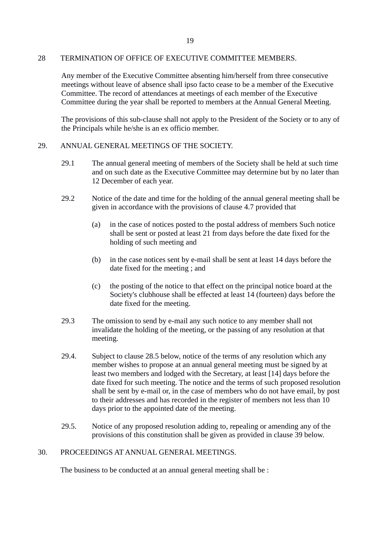#### 28 TERMINATION OF OFFICE OF EXECUTIVE COMMITTEE MEMBERS.

Any member of the Executive Committee absenting him/herself from three consecutive meetings without leave of absence shall ipso facto cease to be a member of the Executive Committee. The record of attendances at meetings of each member of the Executive Committee during the year shall be reported to members at the Annual General Meeting.

The provisions of this sub-clause shall not apply to the President of the Society or to any of the Principals while he/she is an ex officio member.

### 29. ANNUAL GENERAL MEETINGS OF THE SOCIETY.

- 29.1 The annual general meeting of members of the Society shall be held at such time and on such date as the Executive Committee may determine but by no later than 12 December of each year.
- 29.2 Notice of the date and time for the holding of the annual general meeting shall be given in accordance with the provisions of clause 4.7 provided that
	- (a) in the case of notices posted to the postal address of members Such notice shall be sent or posted at least 21 from days before the date fixed for the holding of such meeting and
	- (b) in the case notices sent by e-mail shall be sent at least 14 days before the date fixed for the meeting ; and
	- (c) the posting of the notice to that effect on the principal notice board at the Society's clubhouse shall be effected at least 14 (fourteen) days before the date fixed for the meeting.
- 29.3 The omission to send by e-mail any such notice to any member shall not invalidate the holding of the meeting, or the passing of any resolution at that meeting.
- 29.4. Subject to clause 28.5 below, notice of the terms of any resolution which any member wishes to propose at an annual general meeting must be signed by at least two members and lodged with the Secretary, at least [14] days before the date fixed for such meeting. The notice and the terms of such proposed resolution shall be sent by e-mail or, in the case of members who do not have email, by post to their addresses and has recorded in the register of members not less than 10 days prior to the appointed date of the meeting.
- 29.5. Notice of any proposed resolution adding to, repealing or amending any of the provisions of this constitution shall be given as provided in clause 39 below.

### 30. PROCEEDINGS AT ANNUAL GENERAL MEETINGS.

The business to be conducted at an annual general meeting shall be :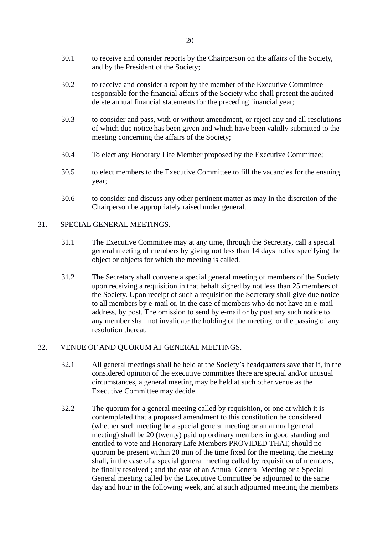- 30.1 to receive and consider reports by the Chairperson on the affairs of the Society, and by the President of the Society;
- 30.2 to receive and consider a report by the member of the Executive Committee responsible for the financial affairs of the Society who shall present the audited delete annual financial statements for the preceding financial year;
- 30.3 to consider and pass, with or without amendment, or reject any and all resolutions of which due notice has been given and which have been validly submitted to the meeting concerning the affairs of the Society;
- 30.4 To elect any Honorary Life Member proposed by the Executive Committee;
- 30.5 to elect members to the Executive Committee to fill the vacancies for the ensuing year;
- 30.6 to consider and discuss any other pertinent matter as may in the discretion of the Chairperson be appropriately raised under general.

## 31. SPECIAL GENERAL MEETINGS.

- 31.1 The Executive Committee may at any time, through the Secretary, call a special general meeting of members by giving not less than 14 days notice specifying the object or objects for which the meeting is called.
- 31.2 The Secretary shall convene a special general meeting of members of the Society upon receiving a requisition in that behalf signed by not less than 25 members of the Society. Upon receipt of such a requisition the Secretary shall give due notice to all members by e-mail or, in the case of members who do not have an e-mail address, by post. The omission to send by e-mail or by post any such notice to any member shall not invalidate the holding of the meeting, or the passing of any resolution thereat.

### 32. VENUE OF AND QUORUM AT GENERAL MEETINGS.

- 32.1 All general meetings shall be held at the Society's headquarters save that if, in the considered opinion of the executive committee there are special and/or unusual circumstances, a general meeting may be held at such other venue as the Executive Committee may decide.
- 32.2 The quorum for a general meeting called by requisition, or one at which it is contemplated that a proposed amendment to this constitution be considered (whether such meeting be a special general meeting or an annual general meeting) shall be 20 (twenty) paid up ordinary members in good standing and entitled to vote and Honorary Life Members PROVIDED THAT, should no quorum be present within 20 min of the time fixed for the meeting, the meeting shall, in the case of a special general meeting called by requisition of members, be finally resolved ; and the case of an Annual General Meeting or a Special General meeting called by the Executive Committee be adjourned to the same day and hour in the following week, and at such adjourned meeting the members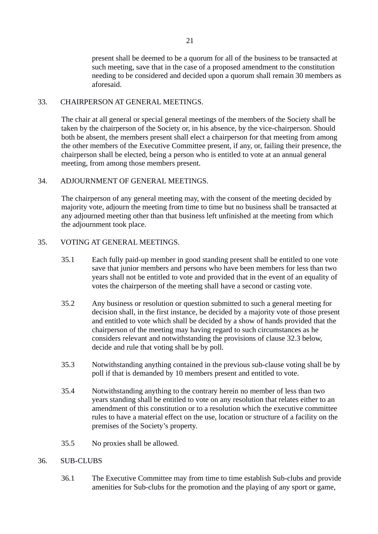present shall be deemed to be a quorum for all of the business to be transacted at such meeting, save that in the case of a proposed amendment to the constitution needing to be considered and decided upon a quorum shall remain 30 members as aforesaid.

## 33. CHAIRPERSON AT GENERAL MEETINGS.

The chair at all general or special general meetings of the members of the Society shall be taken by the chairperson of the Society or, in his absence, by the vice-chairperson. Should both be absent, the members present shall elect a chairperson for that meeting from among the other members of the Executive Committee present, if any, or, failing their presence, the chairperson shall be elected, being a person who is entitled to vote at an annual general meeting, from among those members present.

## 34. ADJOURNMENT OF GENERAL MEETINGS.

The chairperson of any general meeting may, with the consent of the meeting decided by majority vote, adjourn the meeting from time to time but no business shall be transacted at any adjourned meeting other than that business left unfinished at the meeting from which the adjournment took place.

## 35. VOTING AT GENERAL MEETINGS.

- 35.1 Each fully paid-up member in good standing present shall be entitled to one vote save that junior members and persons who have been members for less than two years shall not be entitled to vote and provided that in the event of an equality of votes the chairperson of the meeting shall have a second or casting vote.
- 35.2 Any business or resolution or question submitted to such a general meeting for decision shall, in the first instance, be decided by a majority vote of those present and entitled to vote which shall be decided by a show of hands provided that the chairperson of the meeting may having regard to such circumstances as he considers relevant and notwithstanding the provisions of clause 32.3 below, decide and rule that voting shall be by poll.
- 35.3 Notwithstanding anything contained in the previous sub-clause voting shall be by poll if that is demanded by 10 members present and entitled to vote.
- 35.4 Notwithstanding anything to the contrary herein no member of less than two years standing shall be entitled to vote on any resolution that relates either to an amendment of this constitution or to a resolution which the executive committee rules to have a material effect on the use, location or structure of a facility on the premises of the Society's property.
- 35.5 No proxies shall be allowed.

# 36. SUB-CLUBS

36.1 The Executive Committee may from time to time establish Sub-clubs and provide amenities for Sub-clubs for the promotion and the playing of any sport or game,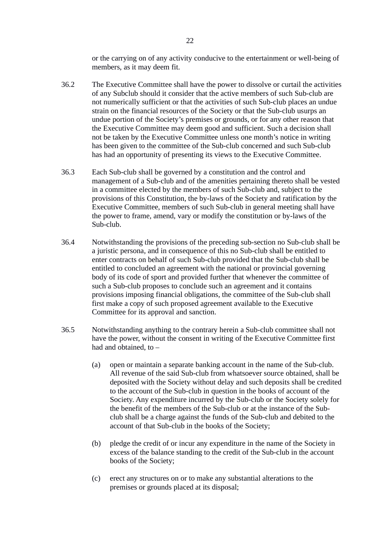or the carrying on of any activity conducive to the entertainment or well-being of members, as it may deem fit.

- 36.2 The Executive Committee shall have the power to dissolve or curtail the activities of any Subclub should it consider that the active members of such Sub-club are not numerically sufficient or that the activities of such Sub-club places an undue strain on the financial resources of the Society or that the Sub-club usurps an undue portion of the Society's premises or grounds, or for any other reason that the Executive Committee may deem good and sufficient. Such a decision shall not be taken by the Executive Committee unless one month's notice in writing has been given to the committee of the Sub-club concerned and such Sub-club has had an opportunity of presenting its views to the Executive Committee.
- 36.3 Each Sub-club shall be governed by a constitution and the control and management of a Sub-club and of the amenities pertaining thereto shall be vested in a committee elected by the members of such Sub-club and, subject to the provisions of this Constitution, the by-laws of the Society and ratification by the Executive Committee, members of such Sub-club in general meeting shall have the power to frame, amend, vary or modify the constitution or by-laws of the Sub-club.
- 36.4 Notwithstanding the provisions of the preceding sub-section no Sub-club shall be a juristic persona, and in consequence of this no Sub-club shall be entitled to enter contracts on behalf of such Sub-club provided that the Sub-club shall be entitled to concluded an agreement with the national or provincial governing body of its code of sport and provided further that whenever the committee of such a Sub-club proposes to conclude such an agreement and it contains provisions imposing financial obligations, the committee of the Sub-club shall first make a copy of such proposed agreement available to the Executive Committee for its approval and sanction.
- 36.5 Notwithstanding anything to the contrary herein a Sub-club committee shall not have the power, without the consent in writing of the Executive Committee first had and obtained, to –
	- (a) open or maintain a separate banking account in the name of the Sub-club. All revenue of the said Sub-club from whatsoever source obtained, shall be deposited with the Society without delay and such deposits shall be credited to the account of the Sub-club in question in the books of account of the Society. Any expenditure incurred by the Sub-club or the Society solely for the benefit of the members of the Sub-club or at the instance of the Subclub shall be a charge against the funds of the Sub-club and debited to the account of that Sub-club in the books of the Society;
	- (b) pledge the credit of or incur any expenditure in the name of the Society in excess of the balance standing to the credit of the Sub-club in the account books of the Society;
	- (c) erect any structures on or to make any substantial alterations to the premises or grounds placed at its disposal;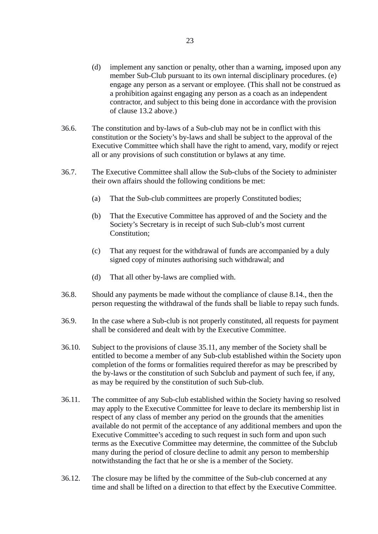- (d) implement any sanction or penalty, other than a warning, imposed upon any member Sub-Club pursuant to its own internal disciplinary procedures. (e) engage any person as a servant or employee. (This shall not be construed as a prohibition against engaging any person as a coach as an independent contractor, and subject to this being done in accordance with the provision of clause 13.2 above.)
- 36.6. The constitution and by-laws of a Sub-club may not be in conflict with this constitution or the Society's by-laws and shall be subject to the approval of the Executive Committee which shall have the right to amend, vary, modify or reject all or any provisions of such constitution or bylaws at any time.
- 36.7. The Executive Committee shall allow the Sub-clubs of the Society to administer their own affairs should the following conditions be met:
	- (a) That the Sub-club committees are properly Constituted bodies;
	- (b) That the Executive Committee has approved of and the Society and the Society's Secretary is in receipt of such Sub-club's most current Constitution;
	- (c) That any request for the withdrawal of funds are accompanied by a duly signed copy of minutes authorising such withdrawal; and
	- (d) That all other by-laws are complied with.
- 36.8. Should any payments be made without the compliance of clause 8.14., then the person requesting the withdrawal of the funds shall be liable to repay such funds.
- 36.9. In the case where a Sub-club is not properly constituted, all requests for payment shall be considered and dealt with by the Executive Committee.
- 36.10. Subject to the provisions of clause 35.11, any member of the Society shall be entitled to become a member of any Sub-club established within the Society upon completion of the forms or formalities required therefor as may be prescribed by the by-laws or the constitution of such Subclub and payment of such fee, if any, as may be required by the constitution of such Sub-club.
- 36.11. The committee of any Sub-club established within the Society having so resolved may apply to the Executive Committee for leave to declare its membership list in respect of any class of member any period on the grounds that the amenities available do not permit of the acceptance of any additional members and upon the Executive Committee's acceding to such request in such form and upon such terms as the Executive Committee may determine, the committee of the Subclub many during the period of closure decline to admit any person to membership notwithstanding the fact that he or she is a member of the Society.
- 36.12. The closure may be lifted by the committee of the Sub-club concerned at any time and shall be lifted on a direction to that effect by the Executive Committee.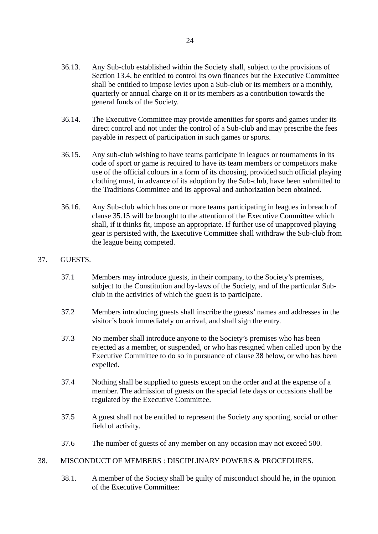- 36.13. Any Sub-club established within the Society shall, subject to the provisions of Section 13.4, be entitled to control its own finances but the Executive Committee shall be entitled to impose levies upon a Sub-club or its members or a monthly, quarterly or annual charge on it or its members as a contribution towards the general funds of the Society.
- 36.14. The Executive Committee may provide amenities for sports and games under its direct control and not under the control of a Sub-club and may prescribe the fees payable in respect of participation in such games or sports.
- 36.15. Any sub-club wishing to have teams participate in leagues or tournaments in its code of sport or game is required to have its team members or competitors make use of the official colours in a form of its choosing, provided such official playing clothing must, in advance of its adoption by the Sub-club, have been submitted to the Traditions Committee and its approval and authorization been obtained.
- 36.16. Any Sub-club which has one or more teams participating in leagues in breach of clause 35.15 will be brought to the attention of the Executive Committee which shall, if it thinks fit, impose an appropriate. If further use of unapproved playing gear is persisted with, the Executive Committee shall withdraw the Sub-club from the league being competed.

# 37. GUESTS.

- 37.1 Members may introduce guests, in their company, to the Society's premises, subject to the Constitution and by-laws of the Society, and of the particular Subclub in the activities of which the guest is to participate.
- 37.2 Members introducing guests shall inscribe the guests' names and addresses in the visitor's book immediately on arrival, and shall sign the entry.
- 37.3 No member shall introduce anyone to the Society's premises who has been rejected as a member, or suspended, or who has resigned when called upon by the Executive Committee to do so in pursuance of clause 38 below, or who has been expelled.
- 37.4 Nothing shall be supplied to guests except on the order and at the expense of a member. The admission of guests on the special fete days or occasions shall be regulated by the Executive Committee.
- 37.5 A guest shall not be entitled to represent the Society any sporting, social or other field of activity.
- 37.6 The number of guests of any member on any occasion may not exceed 500.
- 38. MISCONDUCT OF MEMBERS : DISCIPLINARY POWERS & PROCEDURES.
	- 38.1. A member of the Society shall be guilty of misconduct should he, in the opinion of the Executive Committee: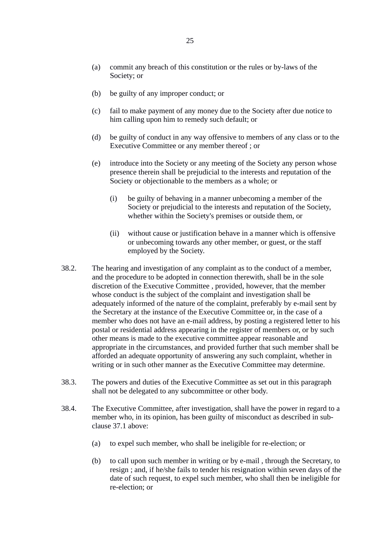- (a) commit any breach of this constitution or the rules or by-laws of the Society; or
- (b) be guilty of any improper conduct; or
- (c) fail to make payment of any money due to the Society after due notice to him calling upon him to remedy such default; or
- (d) be guilty of conduct in any way offensive to members of any class or to the Executive Committee or any member thereof ; or
- (e) introduce into the Society or any meeting of the Society any person whose presence therein shall be prejudicial to the interests and reputation of the Society or objectionable to the members as a whole; or
	- (i) be guilty of behaving in a manner unbecoming a member of the Society or prejudicial to the interests and reputation of the Society, whether within the Society's premises or outside them, or
	- (ii) without cause or justification behave in a manner which is offensive or unbecoming towards any other member, or guest, or the staff employed by the Society.
- 38.2. The hearing and investigation of any complaint as to the conduct of a member, and the procedure to be adopted in connection therewith, shall be in the sole discretion of the Executive Committee , provided, however, that the member whose conduct is the subject of the complaint and investigation shall be adequately informed of the nature of the complaint, preferably by e-mail sent by the Secretary at the instance of the Executive Committee or, in the case of a member who does not have an e-mail address, by posting a registered letter to his postal or residential address appearing in the register of members or, or by such other means is made to the executive committee appear reasonable and appropriate in the circumstances, and provided further that such member shall be afforded an adequate opportunity of answering any such complaint, whether in writing or in such other manner as the Executive Committee may determine.
- 38.3. The powers and duties of the Executive Committee as set out in this paragraph shall not be delegated to any subcommittee or other body.
- 38.4. The Executive Committee, after investigation, shall have the power in regard to a member who, in its opinion, has been guilty of misconduct as described in subclause 37.1 above:
	- (a) to expel such member, who shall be ineligible for re-election; or
	- (b) to call upon such member in writing or by e-mail , through the Secretary, to resign ; and, if he/she fails to tender his resignation within seven days of the date of such request, to expel such member, who shall then be ineligible for re-election; or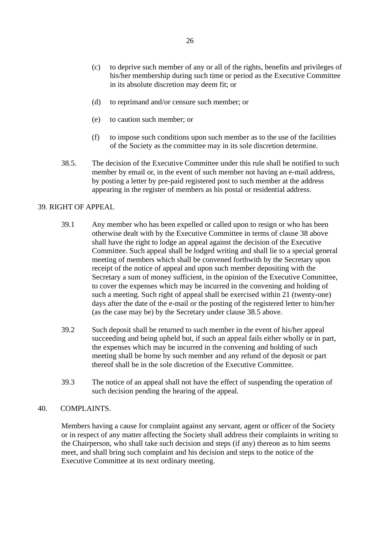- (c) to deprive such member of any or all of the rights, benefits and privileges of his/her membership during such time or period as the Executive Committee in its absolute discretion may deem fit; or
- (d) to reprimand and/or censure such member; or
- (e) to caution such member; or
- (f) to impose such conditions upon such member as to the use of the facilities of the Society as the committee may in its sole discretion determine.
- 38.5. The decision of the Executive Committee under this rule shall be notified to such member by email or, in the event of such member not having an e-mail address, by posting a letter by pre-paid registered post to such member at the address appearing in the register of members as his postal or residential address.

### 39. RIGHT OF APPEAL

- 39.1 Any member who has been expelled or called upon to resign or who has been otherwise dealt with by the Executive Committee in terms of clause 38 above shall have the right to lodge an appeal against the decision of the Executive Committee. Such appeal shall be lodged writing and shall lie to a special general meeting of members which shall be convened forthwith by the Secretary upon receipt of the notice of appeal and upon such member depositing with the Secretary a sum of money sufficient, in the opinion of the Executive Committee, to cover the expenses which may be incurred in the convening and holding of such a meeting. Such right of appeal shall be exercised within 21 (twenty-one) days after the date of the e-mail or the posting of the registered letter to him/her (as the case may be) by the Secretary under clause 38.5 above.
- 39.2 Such deposit shall be returned to such member in the event of his/her appeal succeeding and being upheld but, if such an appeal fails either wholly or in part, the expenses which may be incurred in the convening and holding of such meeting shall be borne by such member and any refund of the deposit or part thereof shall be in the sole discretion of the Executive Committee.
- 39.3 The notice of an appeal shall not have the effect of suspending the operation of such decision pending the hearing of the appeal.

## 40. COMPLAINTS.

Members having a cause for complaint against any servant, agent or officer of the Society or in respect of any matter affecting the Society shall address their complaints in writing to the Chairperson, who shall take such decision and steps (if any) thereon as to him seems meet, and shall bring such complaint and his decision and steps to the notice of the Executive Committee at its next ordinary meeting.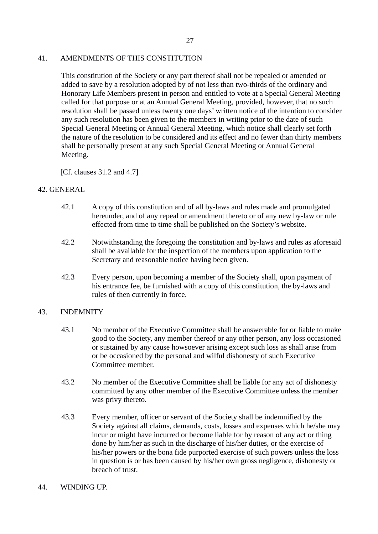## 41. AMENDMENTS OF THIS CONSTITUTION

This constitution of the Society or any part thereof shall not be repealed or amended or added to save by a resolution adopted by of not less than two-thirds of the ordinary and Honorary Life Members present in person and entitled to vote at a Special General Meeting called for that purpose or at an Annual General Meeting, provided, however, that no such resolution shall be passed unless twenty one days' written notice of the intention to consider any such resolution has been given to the members in writing prior to the date of such Special General Meeting or Annual General Meeting, which notice shall clearly set forth the nature of the resolution to be considered and its effect and no fewer than thirty members shall be personally present at any such Special General Meeting or Annual General Meeting.

[Cf. clauses 31.2 and 4.7]

## 42. GENERAL

- 42.1 A copy of this constitution and of all by-laws and rules made and promulgated hereunder, and of any repeal or amendment thereto or of any new by-law or rule effected from time to time shall be published on the Society's website.
- 42.2 Notwithstanding the foregoing the constitution and by-laws and rules as aforesaid shall be available for the inspection of the members upon application to the Secretary and reasonable notice having been given.
- 42.3 Every person, upon becoming a member of the Society shall, upon payment of his entrance fee, be furnished with a copy of this constitution, the by-laws and rules of then currently in force.

### 43. INDEMNITY

- 43.1 No member of the Executive Committee shall be answerable for or liable to make good to the Society, any member thereof or any other person, any loss occasioned or sustained by any cause howsoever arising except such loss as shall arise from or be occasioned by the personal and wilful dishonesty of such Executive Committee member.
- 43.2 No member of the Executive Committee shall be liable for any act of dishonesty committed by any other member of the Executive Committee unless the member was privy thereto.
- 43.3 Every member, officer or servant of the Society shall be indemnified by the Society against all claims, demands, costs, losses and expenses which he/she may incur or might have incurred or become liable for by reason of any act or thing done by him/her as such in the discharge of his/her duties, or the exercise of his/her powers or the bona fide purported exercise of such powers unless the loss in question is or has been caused by his/her own gross negligence, dishonesty or breach of trust.
- 44. WINDING UP.